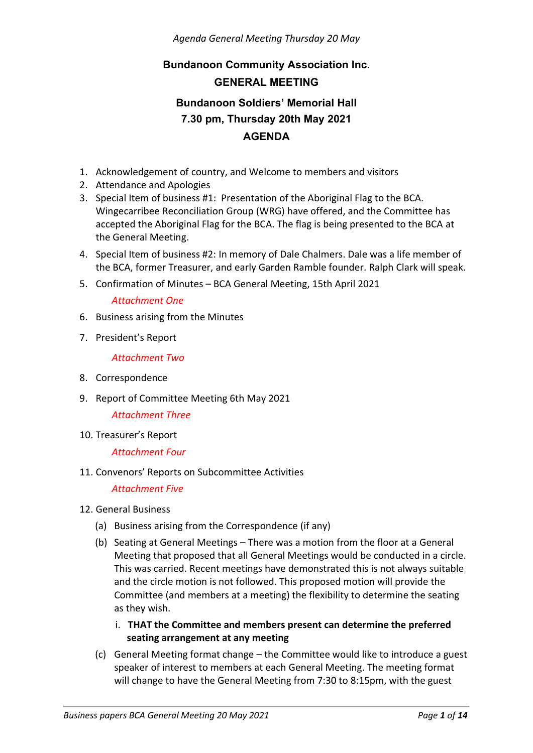#### *Agenda General Meeting Thursday 20 May*

# **Bundanoon Community Association Inc. GENERAL MEETING Bundanoon Soldiers' Memorial Hall 7.30 pm, Thursday 20th May 2021 AGENDA**

- 1. Acknowledgement of country, and Welcome to members and visitors
- 2. Attendance and Apologies
- 3. Special Item of business #1: Presentation of the Aboriginal Flag to the BCA. Wingecarribee Reconciliation Group (WRG) have offered, and the Committee has accepted the Aboriginal Flag for the BCA. The flag is being presented to the BCA at the General Meeting.
- 4. Special Item of business #2: In memory of Dale Chalmers. Dale was a life member of the BCA, former Treasurer, and early Garden Ramble founder. Ralph Clark will speak.
- 5. Confirmation of Minutes BCA General Meeting, 15th April 2021

#### *Attachment One*

- 6. Business arising from the Minutes
- 7. President's Report

*Attachment Two*

- 8. Correspondence
- 9. Report of Committee Meeting 6th May 2021

*Attachment Three*

10. Treasurer's Report

*Attachment Four*

11. Convenors' Reports on Subcommittee Activities

*Attachment Five*

- 12. General Business
	- (a) Business arising from the Correspondence (if any)
	- (b) Seating at General Meetings There was a motion from the floor at a General Meeting that proposed that all General Meetings would be conducted in a circle. This was carried. Recent meetings have demonstrated this is not always suitable and the circle motion is not followed. This proposed motion will provide the Committee (and members at a meeting) the flexibility to determine the seating as they wish.
		- i. **THAT the Committee and members present can determine the preferred seating arrangement at any meeting**
	- (c) General Meeting format change the Committee would like to introduce a guest speaker of interest to members at each General Meeting. The meeting format will change to have the General Meeting from 7:30 to 8:15pm, with the guest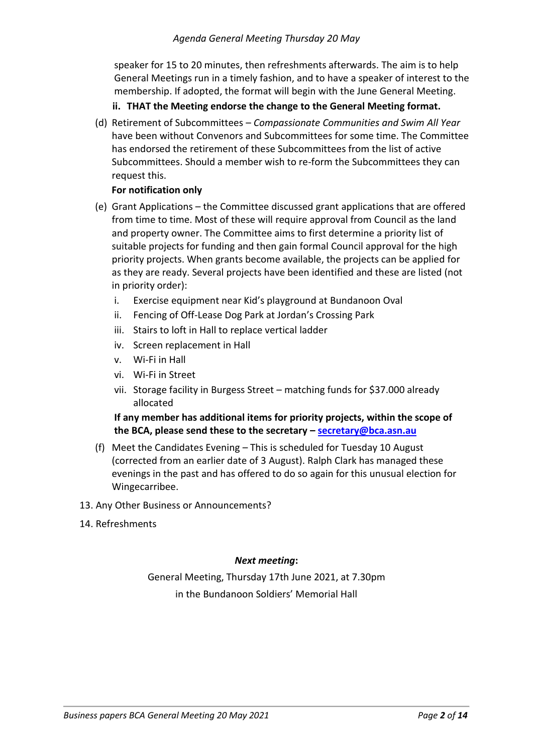speaker for 15 to 20 minutes, then refreshments afterwards. The aim is to help General Meetings run in a timely fashion, and to have a speaker of interest to the membership. If adopted, the format will begin with the June General Meeting.

### **ii. THAT the Meeting endorse the change to the General Meeting format.**

(d) Retirement of Subcommittees – *Compassionate Communities and Swim All Year* have been without Convenors and Subcommittees for some time. The Committee has endorsed the retirement of these Subcommittees from the list of active Subcommittees. Should a member wish to re-form the Subcommittees they can request this.

#### **For notification only**

- (e) Grant Applications the Committee discussed grant applications that are offered from time to time. Most of these will require approval from Council as the land and property owner. The Committee aims to first determine a priority list of suitable projects for funding and then gain formal Council approval for the high priority projects. When grants become available, the projects can be applied for as they are ready. Several projects have been identified and these are listed (not in priority order):
	- i. Exercise equipment near Kid's playground at Bundanoon Oval
	- ii. Fencing of Off-Lease Dog Park at Jordan's Crossing Park
	- iii. Stairs to loft in Hall to replace vertical ladder
	- iv. Screen replacement in Hall
	- v. Wi-Fi in Hall
	- vi. Wi-Fi in Street
	- vii. Storage facility in Burgess Street matching funds for \$37.000 already allocated

### **If any member has additional items for priority projects, within the scope of the BCA, please send these to the secretary – [secretary@bca.asn.au](mailto:secretary@bca.asn.au)**

- (f) Meet the Candidates Evening This is scheduled for Tuesday 10 August (corrected from an earlier date of 3 August). Ralph Clark has managed these evenings in the past and has offered to do so again for this unusual election for Wingecarribee.
- 13. Any Other Business or Announcements?
- 14. Refreshments

#### *Next meeting***:**

General Meeting, Thursday 17th June 2021, at 7.30pm in the Bundanoon Soldiers' Memorial Hall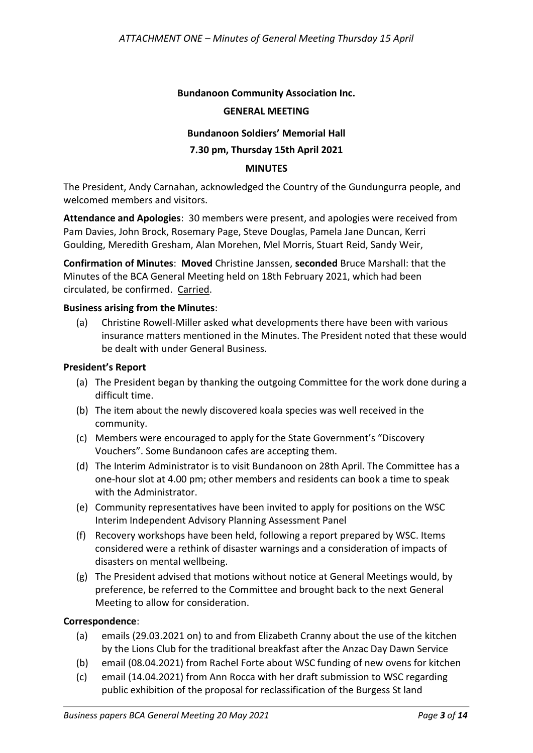#### **Bundanoon Community Association Inc.**

#### **GENERAL MEETING**

#### **Bundanoon Soldiers' Memorial Hall**

#### **7.30 pm, Thursday 15th April 2021**

#### **MINUTES**

The President, Andy Carnahan, acknowledged the Country of the Gundungurra people, and welcomed members and visitors.

**Attendance and Apologies**: 30 members were present, and apologies were received from Pam Davies, John Brock, Rosemary Page, Steve Douglas, Pamela Jane Duncan, Kerri Goulding, Meredith Gresham, Alan Morehen, Mel Morris, Stuart Reid, Sandy Weir,

**Confirmation of Minutes**: **Moved** Christine Janssen, **seconded** Bruce Marshall: that the Minutes of the BCA General Meeting held on 18th February 2021, which had been circulated, be confirmed. Carried.

#### **Business arising from the Minutes**:

(a) Christine Rowell-Miller asked what developments there have been with various insurance matters mentioned in the Minutes. The President noted that these would be dealt with under General Business.

#### **President's Report**

- (a) The President began by thanking the outgoing Committee for the work done during a difficult time.
- (b) The item about the newly discovered koala species was well received in the community.
- (c) Members were encouraged to apply for the State Government's "Discovery Vouchers". Some Bundanoon cafes are accepting them.
- (d) The Interim Administrator is to visit Bundanoon on 28th April. The Committee has a one-hour slot at 4.00 pm; other members and residents can book a time to speak with the Administrator.
- (e) Community representatives have been invited to apply for positions on the WSC Interim Independent Advisory Planning Assessment Panel
- (f) Recovery workshops have been held, following a report prepared by WSC. Items considered were a rethink of disaster warnings and a consideration of impacts of disasters on mental wellbeing.
- (g) The President advised that motions without notice at General Meetings would, by preference, be referred to the Committee and brought back to the next General Meeting to allow for consideration.

#### **Correspondence**:

- (a) emails (29.03.2021 on) to and from Elizabeth Cranny about the use of the kitchen by the Lions Club for the traditional breakfast after the Anzac Day Dawn Service
- (b) email (08.04.2021) from Rachel Forte about WSC funding of new ovens for kitchen
- (c) email (14.04.2021) from Ann Rocca with her draft submission to WSC regarding public exhibition of the proposal for reclassification of the Burgess St land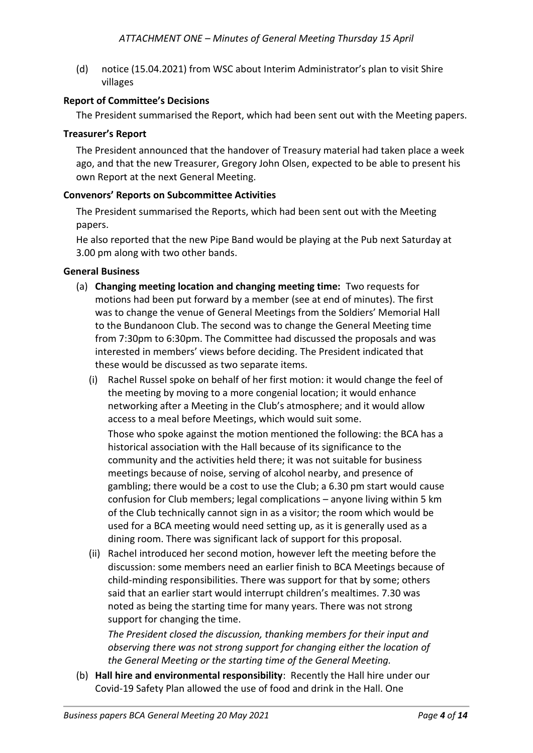(d) notice (15.04.2021) from WSC about Interim Administrator's plan to visit Shire villages

#### **Report of Committee's Decisions**

The President summarised the Report, which had been sent out with the Meeting papers.

#### **Treasurer's Report**

The President announced that the handover of Treasury material had taken place a week ago, and that the new Treasurer, Gregory John Olsen, expected to be able to present his own Report at the next General Meeting.

#### **Convenors' Reports on Subcommittee Activities**

The President summarised the Reports, which had been sent out with the Meeting papers.

He also reported that the new Pipe Band would be playing at the Pub next Saturday at 3.00 pm along with two other bands.

#### **General Business**

- (a) **Changing meeting location and changing meeting time:** Two requests for motions had been put forward by a member (see at end of minutes). The first was to change the venue of General Meetings from the Soldiers' Memorial Hall to the Bundanoon Club. The second was to change the General Meeting time from 7:30pm to 6:30pm. The Committee had discussed the proposals and was interested in members' views before deciding. The President indicated that these would be discussed as two separate items.
	- (i) Rachel Russel spoke on behalf of her first motion: it would change the feel of the meeting by moving to a more congenial location; it would enhance networking after a Meeting in the Club's atmosphere; and it would allow access to a meal before Meetings, which would suit some.

Those who spoke against the motion mentioned the following: the BCA has a historical association with the Hall because of its significance to the community and the activities held there; it was not suitable for business meetings because of noise, serving of alcohol nearby, and presence of gambling; there would be a cost to use the Club; a 6.30 pm start would cause confusion for Club members; legal complications – anyone living within 5 km of the Club technically cannot sign in as a visitor; the room which would be used for a BCA meeting would need setting up, as it is generally used as a dining room. There was significant lack of support for this proposal.

(ii) Rachel introduced her second motion, however left the meeting before the discussion: some members need an earlier finish to BCA Meetings because of child-minding responsibilities. There was support for that by some; others said that an earlier start would interrupt children's mealtimes. 7.30 was noted as being the starting time for many years. There was not strong support for changing the time.

*The President closed the discussion, thanking members for their input and observing there was not strong support for changing either the location of the General Meeting or the starting time of the General Meeting.*

(b) **Hall hire and environmental responsibility**: Recently the Hall hire under our Covid-19 Safety Plan allowed the use of food and drink in the Hall. One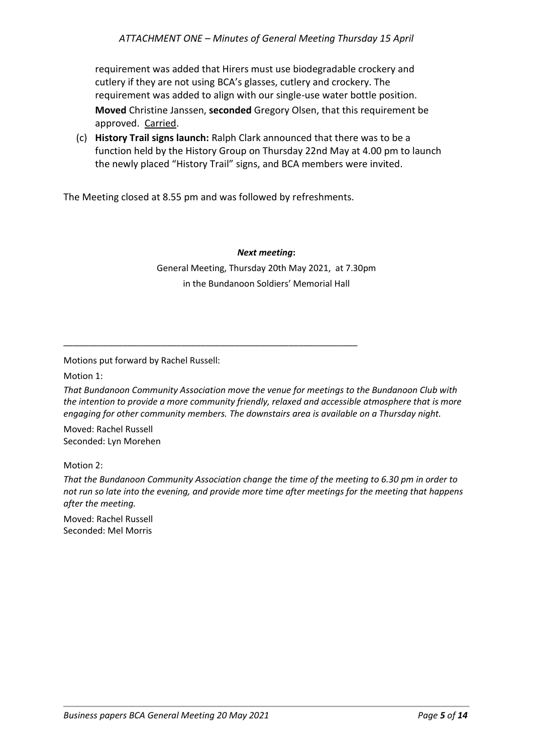requirement was added that Hirers must use biodegradable crockery and cutlery if they are not using BCA's glasses, cutlery and crockery. The requirement was added to align with our single-use water bottle position. **Moved** Christine Janssen, **seconded** Gregory Olsen, that this requirement be approved. Carried.

(c) **History Trail signs launch:** Ralph Clark announced that there was to be a function held by the History Group on Thursday 22nd May at 4.00 pm to launch the newly placed "History Trail" signs, and BCA members were invited.

The Meeting closed at 8.55 pm and was followed by refreshments.

\_\_\_\_\_\_\_\_\_\_\_\_\_\_\_\_\_\_\_\_\_\_\_\_\_\_\_\_\_\_\_\_\_\_\_\_\_\_\_\_\_\_\_\_\_\_\_\_\_\_\_\_\_\_\_\_\_\_\_\_

#### *Next meeting***:**

General Meeting, Thursday 20th May 2021, at 7.30pm in the Bundanoon Soldiers' Memorial Hall

Motions put forward by Rachel Russell:

Motion 1:

*That Bundanoon Community Association move the venue for meetings to the Bundanoon Club with the intention to provide a more community friendly, relaxed and accessible atmosphere that is more engaging for other community members. The downstairs area is available on a Thursday night.*

Moved: Rachel Russell Seconded: Lyn Morehen

#### Motion 2:

*That the Bundanoon Community Association change the time of the meeting to 6.30 pm in order to not run so late into the evening, and provide more time after meetings for the meeting that happens after the meeting.*

Moved: Rachel Russell Seconded: Mel Morris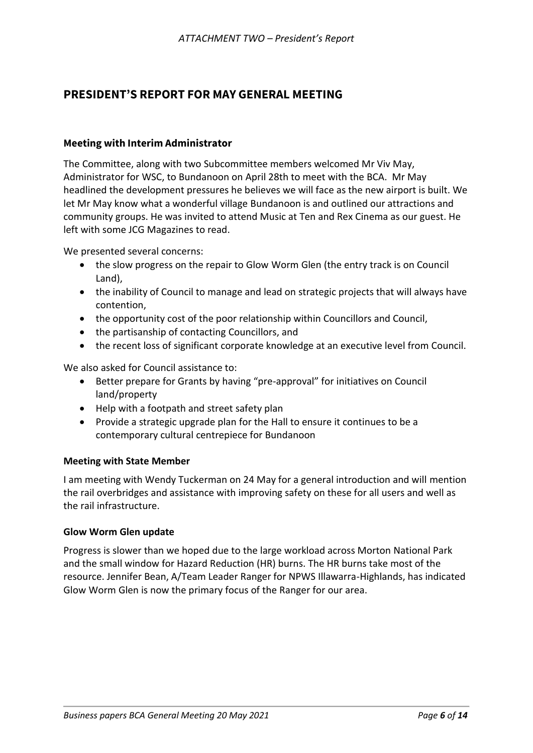## **PRESIDENT'S REPORT FOR MAY GENERAL MEETING**

#### **Meeting with Interim Administrator**

The Committee, along with two Subcommittee members welcomed Mr Viv May, Administrator for WSC, to Bundanoon on April 28th to meet with the BCA. Mr May headlined the development pressures he believes we will face as the new airport is built. We let Mr May know what a wonderful village Bundanoon is and outlined our attractions and community groups. He was invited to attend Music at Ten and Rex Cinema as our guest. He left with some JCG Magazines to read.

We presented several concerns:

- the slow progress on the repair to Glow Worm Glen (the entry track is on Council Land),
- the inability of Council to manage and lead on strategic projects that will always have contention,
- the opportunity cost of the poor relationship within Councillors and Council,
- the partisanship of contacting Councillors, and
- the recent loss of significant corporate knowledge at an executive level from Council.

We also asked for Council assistance to:

- Better prepare for Grants by having "pre-approval" for initiatives on Council land/property
- Help with a footpath and street safety plan
- Provide a strategic upgrade plan for the Hall to ensure it continues to be a contemporary cultural centrepiece for Bundanoon

#### **Meeting with State Member**

I am meeting with Wendy Tuckerman on 24 May for a general introduction and will mention the rail overbridges and assistance with improving safety on these for all users and well as the rail infrastructure.

#### **Glow Worm Glen update**

Progress is slower than we hoped due to the large workload across Morton National Park and the small window for Hazard Reduction (HR) burns. The HR burns take most of the resource. Jennifer Bean, A/Team Leader Ranger for NPWS Illawarra-Highlands, has indicated Glow Worm Glen is now the primary focus of the Ranger for our area.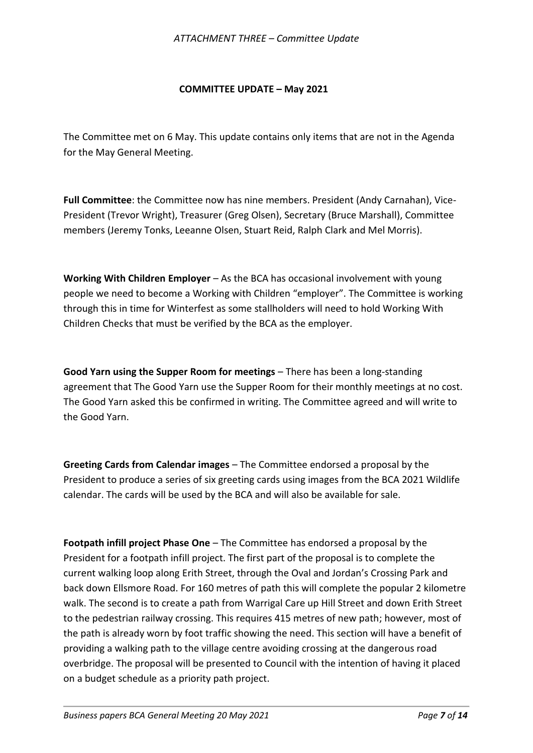#### **COMMITTEE UPDATE – May 2021**

The Committee met on 6 May. This update contains only items that are not in the Agenda for the May General Meeting.

**Full Committee**: the Committee now has nine members. President (Andy Carnahan), Vice-President (Trevor Wright), Treasurer (Greg Olsen), Secretary (Bruce Marshall), Committee members (Jeremy Tonks, Leeanne Olsen, Stuart Reid, Ralph Clark and Mel Morris).

**Working With Children Employer** – As the BCA has occasional involvement with young people we need to become a Working with Children "employer". The Committee is working through this in time for Winterfest as some stallholders will need to hold Working With Children Checks that must be verified by the BCA as the employer.

**Good Yarn using the Supper Room for meetings** – There has been a long-standing agreement that The Good Yarn use the Supper Room for their monthly meetings at no cost. The Good Yarn asked this be confirmed in writing. The Committee agreed and will write to the Good Yarn.

**Greeting Cards from Calendar images** – The Committee endorsed a proposal by the President to produce a series of six greeting cards using images from the BCA 2021 Wildlife calendar. The cards will be used by the BCA and will also be available for sale.

**Footpath infill project Phase One** – The Committee has endorsed a proposal by the President for a footpath infill project. The first part of the proposal is to complete the current walking loop along Erith Street, through the Oval and Jordan's Crossing Park and back down Ellsmore Road. For 160 metres of path this will complete the popular 2 kilometre walk. The second is to create a path from Warrigal Care up Hill Street and down Erith Street to the pedestrian railway crossing. This requires 415 metres of new path; however, most of the path is already worn by foot traffic showing the need. This section will have a benefit of providing a walking path to the village centre avoiding crossing at the dangerous road overbridge. The proposal will be presented to Council with the intention of having it placed on a budget schedule as a priority path project.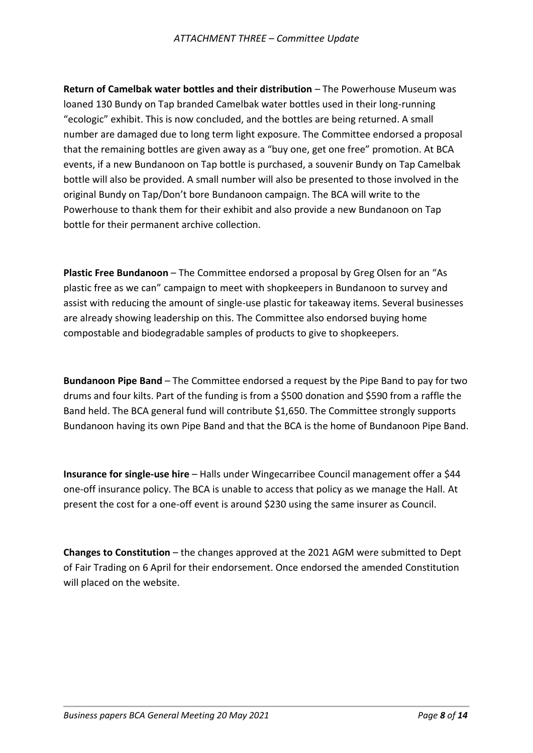**Return of Camelbak water bottles and their distribution** – The Powerhouse Museum was loaned 130 Bundy on Tap branded Camelbak water bottles used in their long-running "ecologic" exhibit. This is now concluded, and the bottles are being returned. A small number are damaged due to long term light exposure. The Committee endorsed a proposal that the remaining bottles are given away as a "buy one, get one free" promotion. At BCA events, if a new Bundanoon on Tap bottle is purchased, a souvenir Bundy on Tap Camelbak bottle will also be provided. A small number will also be presented to those involved in the original Bundy on Tap/Don't bore Bundanoon campaign. The BCA will write to the Powerhouse to thank them for their exhibit and also provide a new Bundanoon on Tap bottle for their permanent archive collection.

**Plastic Free Bundanoon** – The Committee endorsed a proposal by Greg Olsen for an "As plastic free as we can" campaign to meet with shopkeepers in Bundanoon to survey and assist with reducing the amount of single-use plastic for takeaway items. Several businesses are already showing leadership on this. The Committee also endorsed buying home compostable and biodegradable samples of products to give to shopkeepers.

**Bundanoon Pipe Band** – The Committee endorsed a request by the Pipe Band to pay for two drums and four kilts. Part of the funding is from a \$500 donation and \$590 from a raffle the Band held. The BCA general fund will contribute \$1,650. The Committee strongly supports Bundanoon having its own Pipe Band and that the BCA is the home of Bundanoon Pipe Band.

**Insurance for single-use hire** – Halls under Wingecarribee Council management offer a \$44 one-off insurance policy. The BCA is unable to access that policy as we manage the Hall. At present the cost for a one-off event is around \$230 using the same insurer as Council.

**Changes to Constitution** – the changes approved at the 2021 AGM were submitted to Dept of Fair Trading on 6 April for their endorsement. Once endorsed the amended Constitution will placed on the website.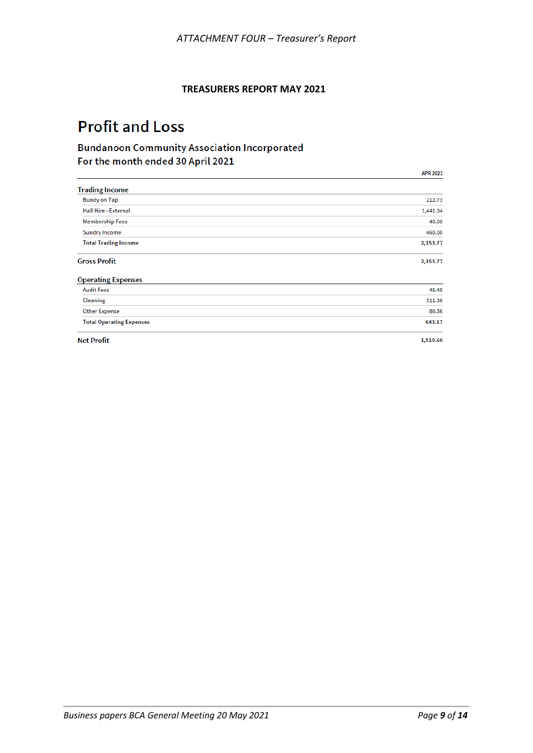#### **TREASURERS REPORT MAY 2021**

# **Profit and Loss**

## **Bundanoon Community Association Incorporated** For the month ended 30 April 2021

|                                 | <b>APR 2021</b> |
|---------------------------------|-----------------|
| <b>Trading Income</b>           |                 |
| <b>Bundy on Tap</b>             | 212.73          |
| <b>Hall Hire - External</b>     | 1,441.04        |
| <b>Membership Fees</b>          | 40.00           |
| <b>Sundry Income</b>            | 460.00          |
| <b>Total Trading Income</b>     | 2,153.77        |
| <b>Gross Profit</b>             | 2,153.77        |
| <b>Operating Expenses</b>       |                 |
| <b>Audit Fees</b>               | 45.45           |
| Cleaning                        | 511.36          |
| <b>Other Expense</b>            | 86.36           |
| <b>Total Operating Expenses</b> | 643.17          |
| <b>Net Profit</b>               | 1,510.60        |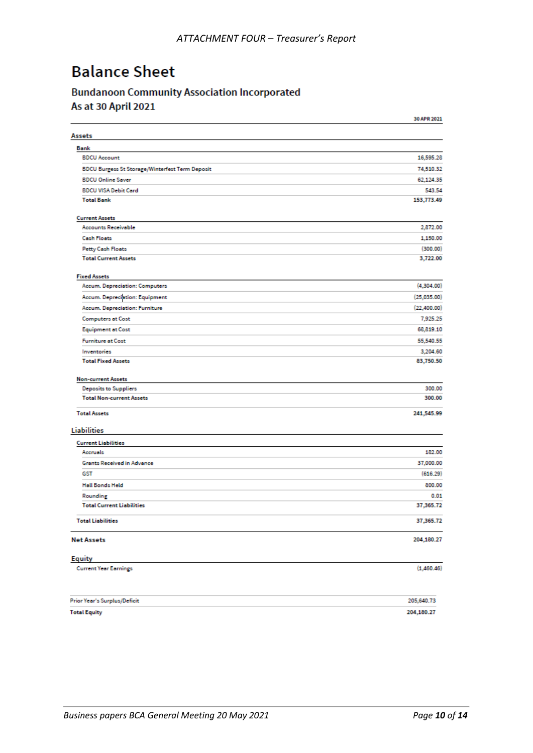# **Balance Sheet**

# **Bundanoon Community Association Incorporated**

As at 30 April 2021

|                                                        | 30 APR 2021  |
|--------------------------------------------------------|--------------|
| Assets                                                 |              |
| Bank                                                   |              |
| <b>BDCU Account</b>                                    | 16,595.28    |
| <b>BDCU Burgess St Storage/Winterfest Term Deposit</b> | 74,510.32    |
| <b>BDCU Online Saver</b>                               | 62,124.35    |
| <b>BDCU VISA Debit Card</b>                            | 543.54       |
| <b>Total Bank</b>                                      | 153,773.49   |
| <b>Current Assets</b>                                  |              |
| <b>Accounts Receivable</b>                             | 2,872.00     |
| <b>Cash Floats</b>                                     | 1,150.00     |
| <b>Petty Cash Floats</b>                               | (300.00)     |
| <b>Total Current Assets</b>                            | 3,722.00     |
| <b>Fixed Assets</b>                                    |              |
| Accum. Depreciation: Computers                         | (4, 304.00)  |
| Accum. Depreciation: Equipment                         | (25,035.00)  |
| Accum. Depreciation: Furniture                         | (22, 400.00) |
| <b>Computers at Cost</b>                               | 7,925.25     |
| <b>Equipment at Cost</b>                               | 68,819.10    |
| <b>Furniture at Cost</b>                               | 55,540.55    |
| Inventories                                            | 3,204.60     |
| <b>Total Fixed Assets</b>                              | 83,750.50    |
| <b>Non-current Assets</b>                              |              |
| Deposits to Suppliers                                  | 300.00       |
| <b>Total Non-current Assets</b>                        | 300.00       |
| <b>Total Assets</b>                                    | 241,545.99   |
| Liabilities                                            |              |
| <b>Current Liabilities</b>                             |              |
| Accruels                                               | 182.00       |
| Grants Received in Advance                             | 37,000.00    |
| GST                                                    | (616.29)     |
| <b>Hall Bonds Held</b>                                 | 800.00       |
| Rounding                                               | 0.01         |
| <b>Total Current Liabilities</b>                       | 37,365.72    |
| <b>Total Liabilities</b>                               | 37,365.72    |
| <b>Net Assets</b>                                      | 204,180.27   |
| <b>Equity</b>                                          |              |
| <b>Current Year Earnings</b>                           | (1,460.46)   |
| Prior Year's Surplus/Deficit                           | 205,640.73   |
| <b>Total Equity</b>                                    | 204,180.27   |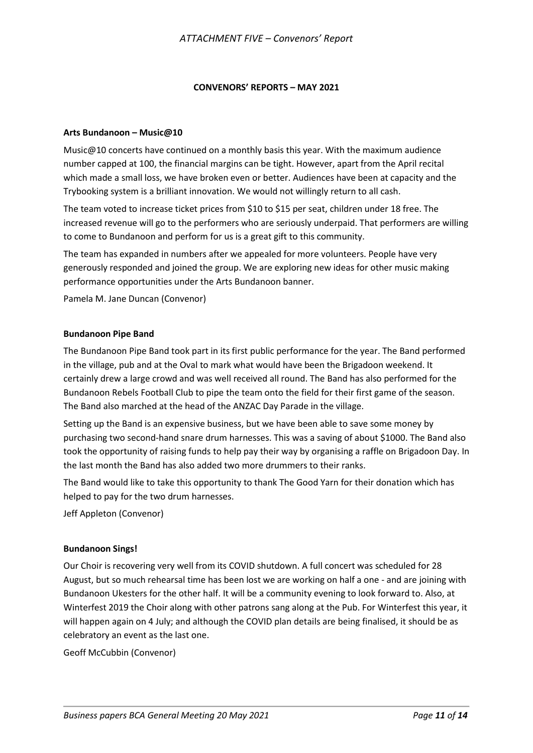#### **CONVENORS' REPORTS – MAY 2021**

#### **Arts Bundanoon – Music@10**

Music@10 concerts have continued on a monthly basis this year. With the maximum audience number capped at 100, the financial margins can be tight. However, apart from the April recital which made a small loss, we have broken even or better. Audiences have been at capacity and the Trybooking system is a brilliant innovation. We would not willingly return to all cash.

The team voted to increase ticket prices from \$10 to \$15 per seat, children under 18 free. The increased revenue will go to the performers who are seriously underpaid. That performers are willing to come to Bundanoon and perform for us is a great gift to this community.

The team has expanded in numbers after we appealed for more volunteers. People have very generously responded and joined the group. We are exploring new ideas for other music making performance opportunities under the Arts Bundanoon banner.

Pamela M. Jane Duncan (Convenor)

#### **Bundanoon Pipe Band**

The Bundanoon Pipe Band took part in its first public performance for the year. The Band performed in the village, pub and at the Oval to mark what would have been the Brigadoon weekend. It certainly drew a large crowd and was well received all round. The Band has also performed for the Bundanoon Rebels Football Club to pipe the team onto the field for their first game of the season. The Band also marched at the head of the ANZAC Day Parade in the village.

Setting up the Band is an expensive business, but we have been able to save some money by purchasing two second-hand snare drum harnesses. This was a saving of about \$1000. The Band also took the opportunity of raising funds to help pay their way by organising a raffle on Brigadoon Day. In the last month the Band has also added two more drummers to their ranks.

The Band would like to take this opportunity to thank The Good Yarn for their donation which has helped to pay for the two drum harnesses.

Jeff Appleton (Convenor)

#### **Bundanoon Sings!**

Our Choir is recovering very well from its COVID shutdown. A full concert was scheduled for 28 August, but so much rehearsal time has been lost we are working on half a one - and are joining with Bundanoon Ukesters for the other half. It will be a community evening to look forward to. Also, at Winterfest 2019 the Choir along with other patrons sang along at the Pub. For Winterfest this year, it will happen again on 4 July; and although the COVID plan details are being finalised, it should be as celebratory an event as the last one.

Geoff McCubbin (Convenor)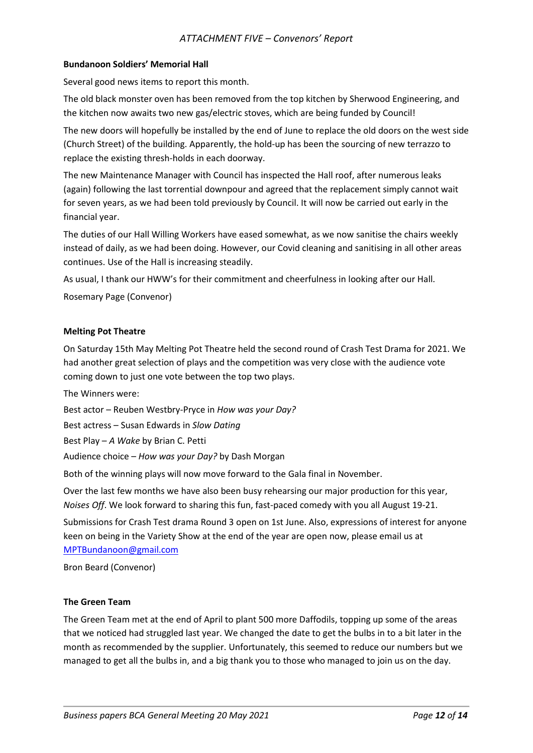#### *ATTACHMENT FIVE – Convenors' Report*

#### **Bundanoon Soldiers' Memorial Hall**

Several good news items to report this month.

The old black monster oven has been removed from the top kitchen by Sherwood Engineering, and the kitchen now awaits two new gas/electric stoves, which are being funded by Council!

The new doors will hopefully be installed by the end of June to replace the old doors on the west side (Church Street) of the building. Apparently, the hold-up has been the sourcing of new terrazzo to replace the existing thresh-holds in each doorway.

The new Maintenance Manager with Council has inspected the Hall roof, after numerous leaks (again) following the last torrential downpour and agreed that the replacement simply cannot wait for seven years, as we had been told previously by Council. It will now be carried out early in the financial year.

The duties of our Hall Willing Workers have eased somewhat, as we now sanitise the chairs weekly instead of daily, as we had been doing. However, our Covid cleaning and sanitising in all other areas continues. Use of the Hall is increasing steadily.

As usual, I thank our HWW's for their commitment and cheerfulness in looking after our Hall.

Rosemary Page (Convenor)

#### **Melting Pot Theatre**

On Saturday 15th May Melting Pot Theatre held the second round of Crash Test Drama for 2021. We had another great selection of plays and the competition was very close with the audience vote coming down to just one vote between the top two plays.

The Winners were:

Best actor – Reuben Westbry-Pryce in *How was your Day?*

Best actress – Susan Edwards in *Slow Dating*

Best Play – *A Wake* by Brian C. Petti

Audience choice – *How was your Day?* by Dash Morgan

Both of the winning plays will now move forward to the Gala final in November.

Over the last few months we have also been busy rehearsing our major production for this year, *Noises Off*. We look forward to sharing this fun, fast-paced comedy with you all August 19-21.

Submissions for Crash Test drama Round 3 open on 1st June. Also, expressions of interest for anyone keen on being in the Variety Show at the end of the year are open now, please email us at [MPTBundanoon@gmail.com](mailto:MPTBundanoon@gmail.com)

Bron Beard (Convenor)

#### **The Green Team**

The Green Team met at the end of April to plant 500 more Daffodils, topping up some of the areas that we noticed had struggled last year. We changed the date to get the bulbs in to a bit later in the month as recommended by the supplier. Unfortunately, this seemed to reduce our numbers but we managed to get all the bulbs in, and a big thank you to those who managed to join us on the day.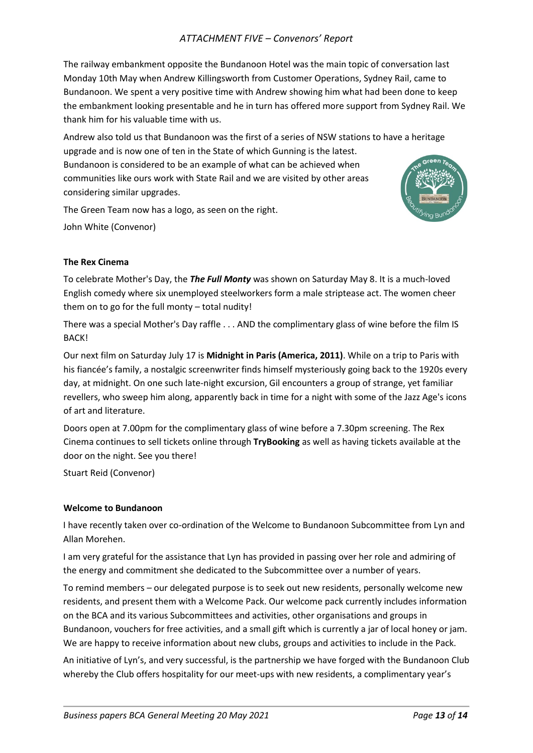#### *ATTACHMENT FIVE – Convenors' Report*

The railway embankment opposite the Bundanoon Hotel was the main topic of conversation last Monday 10th May when Andrew Killingsworth from Customer Operations, Sydney Rail, came to Bundanoon. We spent a very positive time with Andrew showing him what had been done to keep the embankment looking presentable and he in turn has offered more support from Sydney Rail. We thank him for his valuable time with us.

Andrew also told us that Bundanoon was the first of a series of NSW stations to have a heritage upgrade and is now one of ten in the State of which Gunning is the latest. Bundanoon is considered to be an example of what can be achieved when communities like ours work with State Rail and we are visited by other areas considering similar upgrades.

The Green Team now has a logo, as seen on the right.

John White (Convenor)



To celebrate Mother's Day, the *The Full Monty* was shown on Saturday May 8. It is a much-loved English comedy where six unemployed steelworkers form a male striptease act. The women cheer them on to go for the full monty – total nudity!

There was a special Mother's Day raffle . . . AND the complimentary glass of wine before the film IS BACK!

Our next film on Saturday July 17 is **Midnight in Paris (America, 2011)**. While on a trip to Paris with his fiancée's family, a nostalgic screenwriter finds himself mysteriously going back to the 1920s every day, at midnight. On one such late-night excursion, Gil encounters a group of strange, yet familiar revellers, who sweep him along, apparently back in time for a night with some of the Jazz Age's icons of art and literature.

Doors open at 7.00pm for the complimentary glass of wine before a 7.30pm screening. The Rex Cinema continues to sell tickets online through **TryBooking** as well as having tickets available at the door on the night. See you there!

Stuart Reid (Convenor)

#### **Welcome to Bundanoon**

I have recently taken over co-ordination of the Welcome to Bundanoon Subcommittee from Lyn and Allan Morehen.

I am very grateful for the assistance that Lyn has provided in passing over her role and admiring of the energy and commitment she dedicated to the Subcommittee over a number of years.

To remind members – our delegated purpose is to seek out new residents, personally welcome new residents, and present them with a Welcome Pack. Our welcome pack currently includes information on the BCA and its various Subcommittees and activities, other organisations and groups in Bundanoon, vouchers for free activities, and a small gift which is currently a jar of local honey or jam. We are happy to receive information about new clubs, groups and activities to include in the Pack.

An initiative of Lyn's, and very successful, is the partnership we have forged with the Bundanoon Club whereby the Club offers hospitality for our meet-ups with new residents, a complimentary year's